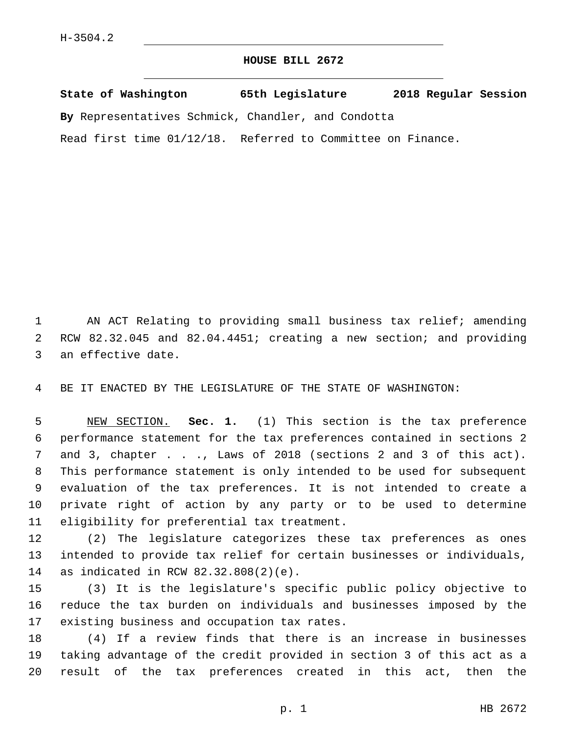## **HOUSE BILL 2672**

**State of Washington 65th Legislature 2018 Regular Session By** Representatives Schmick, Chandler, and Condotta Read first time 01/12/18. Referred to Committee on Finance.

 AN ACT Relating to providing small business tax relief; amending RCW 82.32.045 and 82.04.4451; creating a new section; and providing 3 an effective date.

BE IT ENACTED BY THE LEGISLATURE OF THE STATE OF WASHINGTON:

 NEW SECTION. **Sec. 1.** (1) This section is the tax preference performance statement for the tax preferences contained in sections 2 7 and 3, chapter . . ., Laws of 2018 (sections 2 and 3 of this act). This performance statement is only intended to be used for subsequent evaluation of the tax preferences. It is not intended to create a private right of action by any party or to be used to determine eligibility for preferential tax treatment.

 (2) The legislature categorizes these tax preferences as ones intended to provide tax relief for certain businesses or individuals, 14 as indicated in RCW 82.32.808(2)(e).

 (3) It is the legislature's specific public policy objective to reduce the tax burden on individuals and businesses imposed by the 17 existing business and occupation tax rates.

 (4) If a review finds that there is an increase in businesses taking advantage of the credit provided in section 3 of this act as a result of the tax preferences created in this act, then the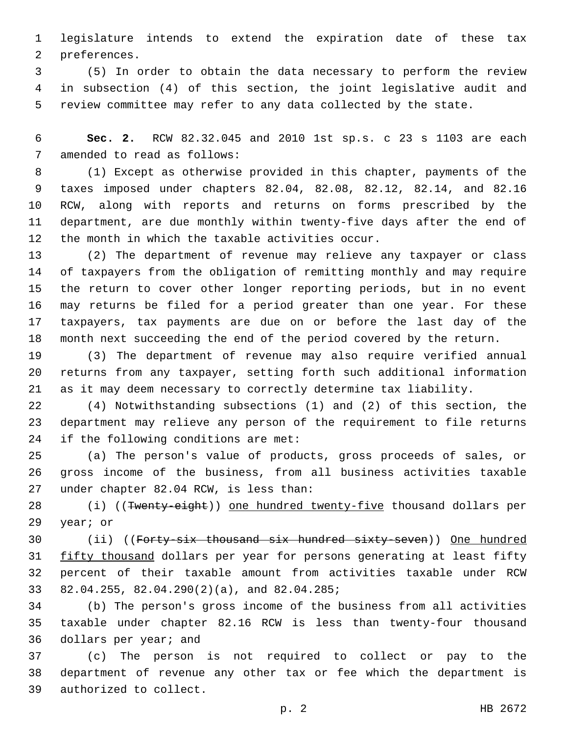legislature intends to extend the expiration date of these tax 2 preferences.

 (5) In order to obtain the data necessary to perform the review in subsection (4) of this section, the joint legislative audit and review committee may refer to any data collected by the state.

 **Sec. 2.** RCW 82.32.045 and 2010 1st sp.s. c 23 s 1103 are each 7 amended to read as follows:

 (1) Except as otherwise provided in this chapter, payments of the taxes imposed under chapters 82.04, 82.08, 82.12, 82.14, and 82.16 RCW, along with reports and returns on forms prescribed by the department, are due monthly within twenty-five days after the end of 12 the month in which the taxable activities occur.

 (2) The department of revenue may relieve any taxpayer or class of taxpayers from the obligation of remitting monthly and may require the return to cover other longer reporting periods, but in no event may returns be filed for a period greater than one year. For these taxpayers, tax payments are due on or before the last day of the month next succeeding the end of the period covered by the return.

 (3) The department of revenue may also require verified annual returns from any taxpayer, setting forth such additional information as it may deem necessary to correctly determine tax liability.

 (4) Notwithstanding subsections (1) and (2) of this section, the department may relieve any person of the requirement to file returns if the following conditions are met:

 (a) The person's value of products, gross proceeds of sales, or gross income of the business, from all business activities taxable 27 under chapter 82.04 RCW, is less than:

28 (i) ((Twenty-eight)) one hundred twenty-five thousand dollars per 29 year; or

30 (ii) ((Forty-six thousand six hundred sixty-seven)) One hundred 31 fifty thousand dollars per year for persons generating at least fifty percent of their taxable amount from activities taxable under RCW 82.04.255, 82.04.290(2)(a), and 82.04.285;

 (b) The person's gross income of the business from all activities taxable under chapter 82.16 RCW is less than twenty-four thousand 36 dollars per year; and

 (c) The person is not required to collect or pay to the department of revenue any other tax or fee which the department is 39 authorized to collect.